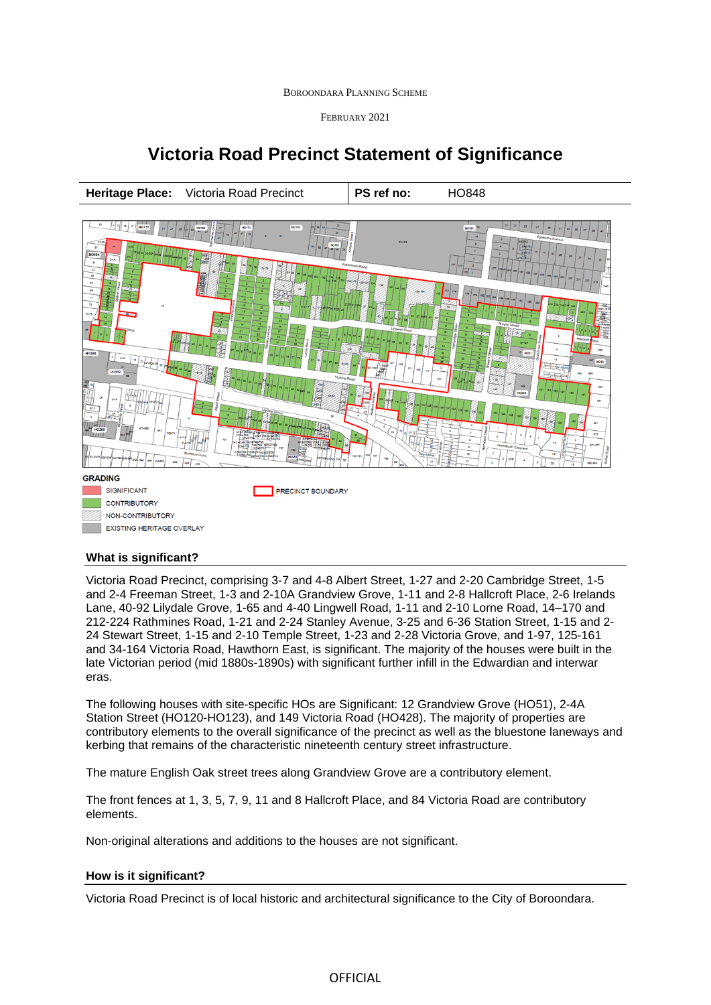

FEBRUARY 2021



# **Victoria Road Precinct Statement of Significance**

## **What is significant?**

Victoria Road Precinct, comprising 3-7 and 4-8 Albert Street, 1-27 and 2-20 Cambridge Street, 1-5 and 2-4 Freeman Street, 1-3 and 2-10A Grandview Grove, 1-11 and 2-8 Hallcroft Place, 2-6 Irelands Lane, 40-92 Lilydale Grove, 1-65 and 4-40 Lingwell Road, 1-11 and 2-10 Lorne Road, 14–170 and 212-224 Rathmines Road, 1-21 and 2-24 Stanley Avenue, 3-25 and 6-36 Station Street, 1-15 and 2- 24 Stewart Street, 1-15 and 2-10 Temple Street, 1-23 and 2-28 Victoria Grove, and 1-97, 125-161 and 34-164 Victoria Road, Hawthorn East, is significant. The majority of the houses were built in the late Victorian period (mid 1880s-1890s) with significant further infill in the Edwardian and interwar eras.

The following houses with site-specific HOs are Significant: 12 Grandview Grove (HO51), 2-4A Station Street (HO120-HO123), and 149 Victoria Road (HO428). The majority of properties are contributory elements to the overall significance of the precinct as well as the bluestone laneways and kerbing that remains of the characteristic nineteenth century street infrastructure.

The mature English Oak street trees along Grandview Grove are a contributory element.

The front fences at 1, 3, 5, 7, 9, 11 and 8 Hallcroft Place, and 84 Victoria Road are contributory elements.

Non-original alterations and additions to the houses are not significant.

### **How is it significant?**

Victoria Road Precinct is of local historic and architectural significance to the City of Boroondara.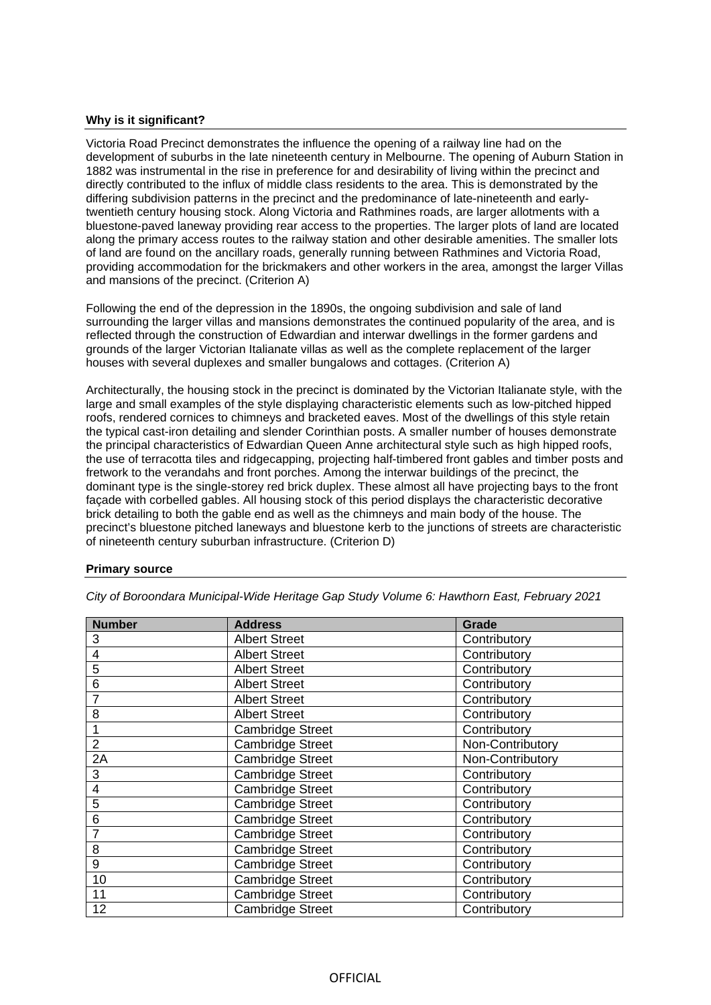#### **Why is it significant?**

Victoria Road Precinct demonstrates the influence the opening of a railway line had on the development of suburbs in the late nineteenth century in Melbourne. The opening of Auburn Station in 1882 was instrumental in the rise in preference for and desirability of living within the precinct and directly contributed to the influx of middle class residents to the area. This is demonstrated by the differing subdivision patterns in the precinct and the predominance of late-nineteenth and earlytwentieth century housing stock. Along Victoria and Rathmines roads, are larger allotments with a bluestone-paved laneway providing rear access to the properties. The larger plots of land are located along the primary access routes to the railway station and other desirable amenities. The smaller lots of land are found on the ancillary roads, generally running between Rathmines and Victoria Road, providing accommodation for the brickmakers and other workers in the area, amongst the larger Villas and mansions of the precinct. (Criterion A)

Following the end of the depression in the 1890s, the ongoing subdivision and sale of land surrounding the larger villas and mansions demonstrates the continued popularity of the area, and is reflected through the construction of Edwardian and interwar dwellings in the former gardens and grounds of the larger Victorian Italianate villas as well as the complete replacement of the larger houses with several duplexes and smaller bungalows and cottages. (Criterion A)

Architecturally, the housing stock in the precinct is dominated by the Victorian Italianate style, with the large and small examples of the style displaying characteristic elements such as low-pitched hipped roofs, rendered cornices to chimneys and bracketed eaves. Most of the dwellings of this style retain the typical cast-iron detailing and slender Corinthian posts. A smaller number of houses demonstrate the principal characteristics of Edwardian Queen Anne architectural style such as high hipped roofs, the use of terracotta tiles and ridgecapping, projecting half-timbered front gables and timber posts and fretwork to the verandahs and front porches. Among the interwar buildings of the precinct, the dominant type is the single-storey red brick duplex. These almost all have projecting bays to the front façade with corbelled gables. All housing stock of this period displays the characteristic decorative brick detailing to both the gable end as well as the chimneys and main body of the house. The precinct's bluestone pitched laneways and bluestone kerb to the junctions of streets are characteristic of nineteenth century suburban infrastructure. (Criterion D)

### **Primary source**

| <b>Number</b>  | <b>Address</b>          | Grade            |
|----------------|-------------------------|------------------|
| 3              | <b>Albert Street</b>    | Contributory     |
| 4              | <b>Albert Street</b>    | Contributory     |
| 5              | <b>Albert Street</b>    | Contributory     |
| 6              | <b>Albert Street</b>    | Contributory     |
| 7              | <b>Albert Street</b>    | Contributory     |
| 8              | <b>Albert Street</b>    | Contributory     |
|                | <b>Cambridge Street</b> | Contributory     |
| $\overline{2}$ | <b>Cambridge Street</b> | Non-Contributory |
| 2A             | <b>Cambridge Street</b> | Non-Contributory |
| 3              | <b>Cambridge Street</b> | Contributory     |
| 4              | <b>Cambridge Street</b> | Contributory     |
| 5              | <b>Cambridge Street</b> | Contributory     |
| 6              | <b>Cambridge Street</b> | Contributory     |
| 7              | <b>Cambridge Street</b> | Contributory     |
| 8              | <b>Cambridge Street</b> | Contributory     |
| 9              | <b>Cambridge Street</b> | Contributory     |
| 10             | <b>Cambridge Street</b> | Contributory     |
| 11             | <b>Cambridge Street</b> | Contributory     |
| 12             | <b>Cambridge Street</b> | Contributory     |

*City of Boroondara Municipal-Wide Heritage Gap Study Volume 6: Hawthorn East, February 2021*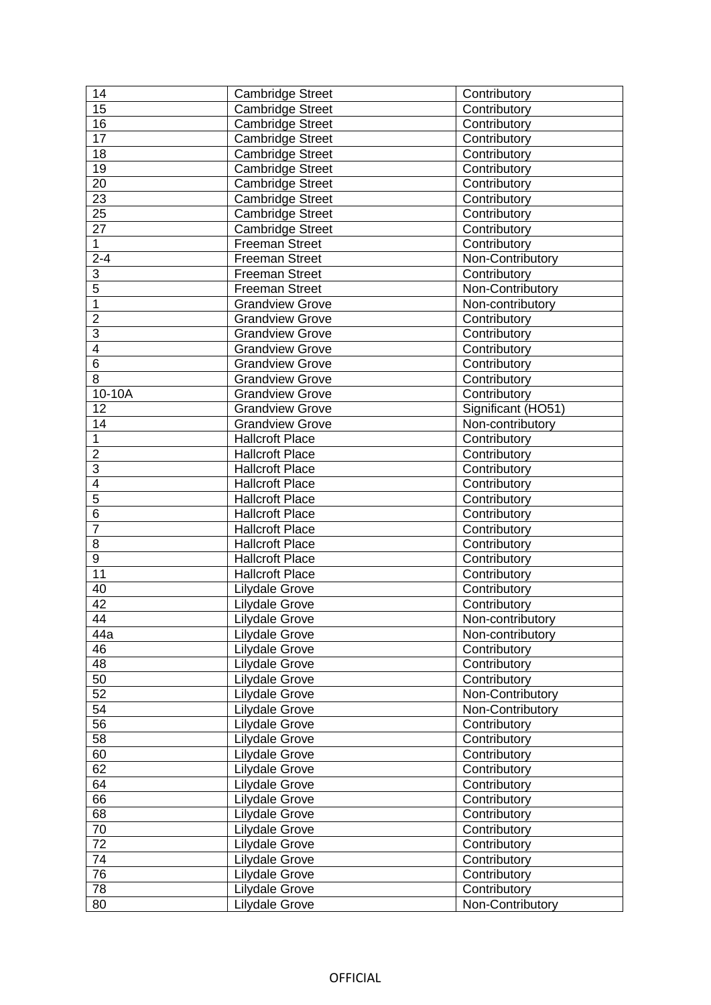| 14                  | <b>Cambridge Street</b>                          | Contributory                 |
|---------------------|--------------------------------------------------|------------------------------|
| 15                  | <b>Cambridge Street</b>                          | Contributory                 |
| $\overline{16}$     | <b>Cambridge Street</b>                          | Contributory                 |
| 17                  | <b>Cambridge Street</b>                          | Contributory                 |
| 18                  | Cambridge Street                                 | Contributory                 |
| 19                  | <b>Cambridge Street</b>                          | Contributory                 |
| 20                  | Cambridge Street                                 | Contributory                 |
| 23                  | <b>Cambridge Street</b>                          | Contributory                 |
| 25                  | <b>Cambridge Street</b>                          | Contributory                 |
| $\overline{27}$     | <b>Cambridge Street</b>                          | Contributory                 |
| $\mathbf{1}$        | <b>Freeman Street</b>                            | Contributory                 |
| $2 - 4$             | <b>Freeman Street</b>                            | Non-Contributory             |
| 3                   | <b>Freeman Street</b>                            | Contributory                 |
| $\overline{5}$      | <b>Freeman Street</b>                            | Non-Contributory             |
| $\mathbf 1$         | <b>Grandview Grove</b>                           | Non-contributory             |
| $\overline{2}$      | <b>Grandview Grove</b>                           | Contributory                 |
| 3                   | <b>Grandview Grove</b>                           | Contributory                 |
| 4                   | Grandview Grove                                  | Contributory                 |
| 6                   | <b>Grandview Grove</b>                           | Contributory                 |
| 8                   | <b>Grandview Grove</b>                           | Contributory                 |
| 10-10A              | <b>Grandview Grove</b>                           | Contributory                 |
| 12                  | <b>Grandview Grove</b>                           | Significant (HO51)           |
| $\overline{14}$     | <b>Grandview Grove</b>                           | Non-contributory             |
| $\mathbf{1}$        | <b>Hallcroft Place</b>                           | Contributory                 |
| $\overline{2}$      | <b>Hallcroft Place</b>                           | Contributory                 |
| $\overline{3}$      | <b>Hallcroft Place</b>                           | Contributory                 |
| $\overline{4}$      |                                                  |                              |
| $\overline{5}$      | <b>Hallcroft Place</b><br><b>Hallcroft Place</b> | Contributory<br>Contributory |
|                     |                                                  |                              |
| 6<br>$\overline{7}$ | <b>Hallcroft Place</b>                           | Contributory                 |
| 8                   | <b>Hallcroft Place</b>                           | Contributory                 |
|                     | <b>Hallcroft Place</b>                           | Contributory                 |
| 9<br>11             | <b>Hallcroft Place</b>                           | Contributory                 |
|                     | <b>Hallcroft Place</b>                           | Contributory                 |
| 40                  | Lilydale Grove                                   | Contributory                 |
| 42<br>44            | Lilydale Grove                                   | Contributory                 |
|                     | Lilydale Grove                                   | Non-contributory             |
| 44a                 | Lilydale Grove                                   | Non-contributory             |
| 46                  | Lilydale Grove                                   | Contributory                 |
| 48                  | Lilydale Grove                                   | Contributory                 |
| 50                  | Lilydale Grove                                   | Contributory                 |
| 52                  | Lilydale Grove                                   | Non-Contributory             |
| 54                  | Lilydale Grove                                   | Non-Contributory             |
| $\overline{56}$     | Lilydale Grove                                   | Contributory                 |
| $\overline{58}$     | Lilydale Grove                                   | Contributory                 |
| 60                  | Lilydale Grove                                   | Contributory                 |
| 62                  | Lilydale Grove                                   | Contributory                 |
| 64                  | Lilydale Grove                                   | Contributory                 |
| 66                  | Lilydale Grove                                   | Contributory                 |
| 68                  | Lilydale Grove                                   | Contributory                 |
| 70                  | Lilydale Grove                                   | Contributory                 |
| $7\overline{2}$     | Lilydale Grove                                   | Contributory                 |
| 74                  | Lilydale Grove                                   | Contributory                 |
| $\overline{76}$     | Lilydale Grove                                   | Contributory                 |
| 78                  | Lilydale Grove                                   | Contributory                 |
| 80                  | Lilydale Grove                                   | Non-Contributory             |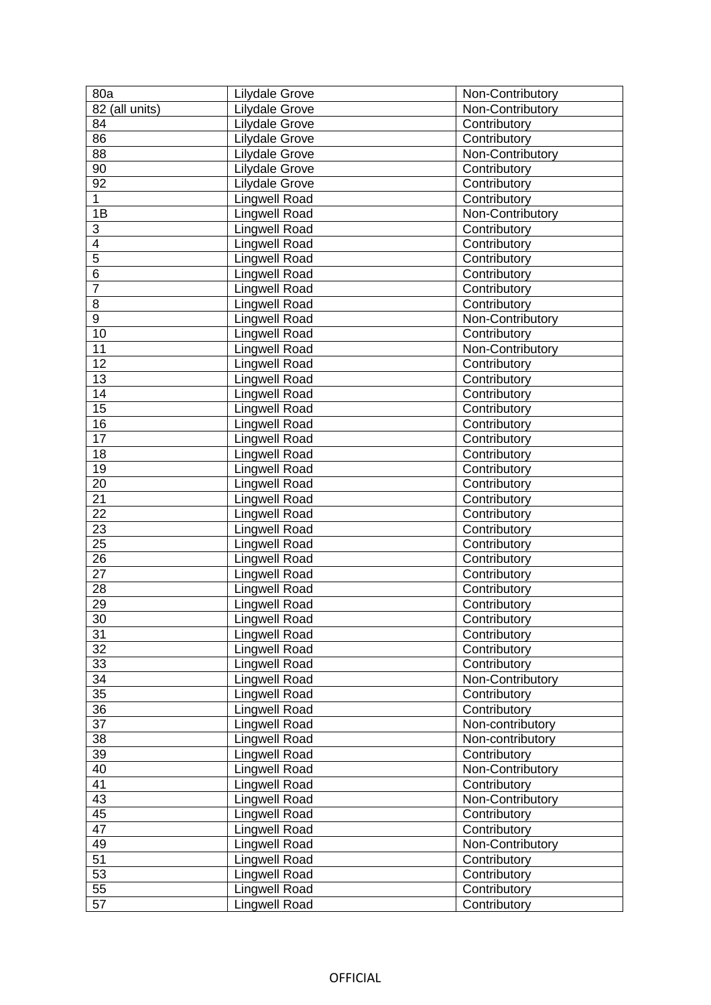| 80a             | Lilydale Grove       | Non-Contributory |
|-----------------|----------------------|------------------|
| 82 (all units)  | Lilydale Grove       | Non-Contributory |
| 84              | Lilydale Grove       | Contributory     |
| 86              | Lilydale Grove       | Contributory     |
| 88              | Lilydale Grove       | Non-Contributory |
| 90              | Lilydale Grove       | Contributory     |
| 92              | Lilydale Grove       | Contributory     |
| $\mathbf{1}$    | <b>Lingwell Road</b> | Contributory     |
| 1B              | <b>Lingwell Road</b> | Non-Contributory |
| 3               | <b>Lingwell Road</b> | Contributory     |
| $\overline{4}$  | <b>Lingwell Road</b> | Contributory     |
| $\overline{5}$  | <b>Lingwell Road</b> | Contributory     |
| 6               | <b>Lingwell Road</b> | Contributory     |
| $\overline{7}$  | Lingwell Road        | Contributory     |
| 8               | <b>Lingwell Road</b> | Contributory     |
| $\overline{9}$  | <b>Lingwell Road</b> | Non-Contributory |
| 10              | <b>Lingwell Road</b> | Contributory     |
| 11              | <b>Lingwell Road</b> | Non-Contributory |
| 12              | <b>Lingwell Road</b> | Contributory     |
| 13              | <b>Lingwell Road</b> | Contributory     |
| $\overline{14}$ | <b>Lingwell Road</b> | Contributory     |
| $\overline{15}$ | <b>Lingwell Road</b> | Contributory     |
| $\overline{16}$ | Lingwell Road        | Contributory     |
| 17              | <b>Lingwell Road</b> | Contributory     |
| 18              |                      |                  |
|                 | <b>Lingwell Road</b> | Contributory     |
| 19              | Lingwell Road        | Contributory     |
| 20              | <b>Lingwell Road</b> | Contributory     |
| 21              | <b>Lingwell Road</b> | Contributory     |
| $\overline{22}$ | <b>Lingwell Road</b> | Contributory     |
| $\overline{23}$ | <b>Lingwell Road</b> | Contributory     |
| 25              | <b>Lingwell Road</b> | Contributory     |
| $\overline{26}$ | <b>Lingwell Road</b> | Contributory     |
| $\overline{27}$ | <b>Lingwell Road</b> | Contributory     |
| 28              | <b>Lingwell Road</b> | Contributory     |
| 29              | <b>Lingwell Road</b> | Contributory     |
| 30              | <b>Lingwell Road</b> | Contributory     |
| 31              | <b>Lingwell Road</b> | Contributory     |
| 32              | <b>Lingwell Road</b> | Contributory     |
| 33              | <b>Lingwell Road</b> | Contributory     |
| 34              | <b>Lingwell Road</b> | Non-Contributory |
| $\overline{35}$ | <b>Lingwell Road</b> | Contributory     |
| $\overline{36}$ | <b>Lingwell Road</b> | Contributory     |
| $\overline{37}$ | <b>Lingwell Road</b> | Non-contributory |
| 38              | <b>Lingwell Road</b> | Non-contributory |
| $\overline{39}$ | <b>Lingwell Road</b> | Contributory     |
| 40 <sup>7</sup> | <b>Lingwell Road</b> | Non-Contributory |
| 41              | Lingwell Road        | Contributory     |
| 43              | <b>Lingwell Road</b> | Non-Contributory |
| $\overline{45}$ | <b>Lingwell Road</b> | Contributory     |
| 47              | <b>Lingwell Road</b> | Contributory     |
| 49              | <b>Lingwell Road</b> | Non-Contributory |
| 51              | <b>Lingwell Road</b> | Contributory     |
| 53              | <b>Lingwell Road</b> | Contributory     |
| $\overline{55}$ | Lingwell Road        | Contributory     |
| 57              | <b>Lingwell Road</b> | Contributory     |
|                 |                      |                  |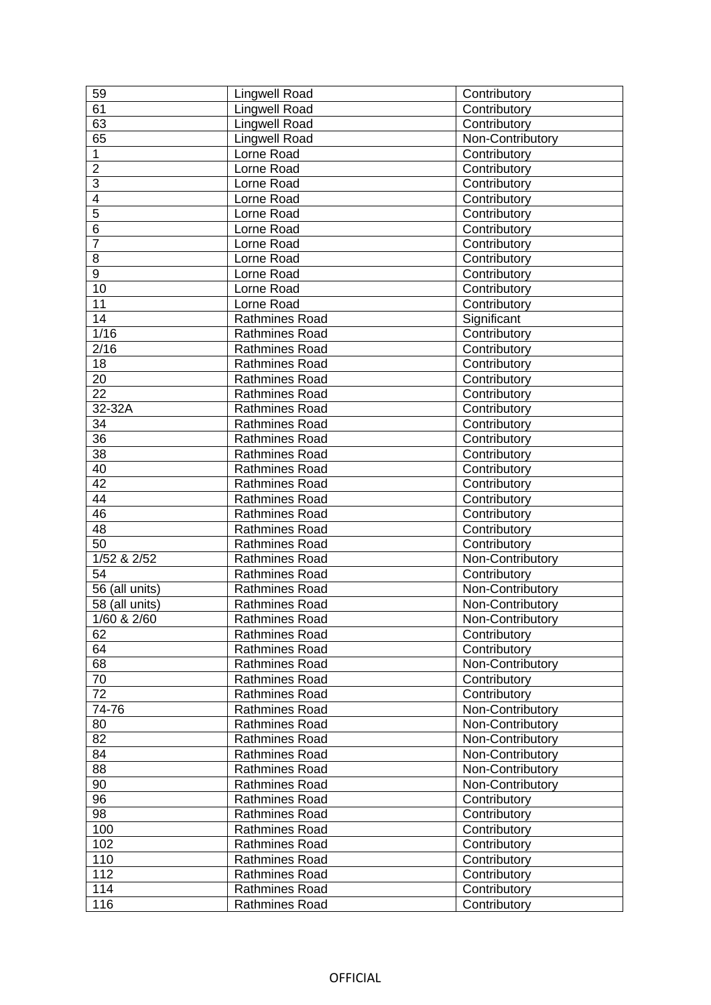| 59              | <b>Lingwell Road</b>  | Contributory     |
|-----------------|-----------------------|------------------|
| 61              | <b>Lingwell Road</b>  | Contributory     |
| 63              | <b>Lingwell Road</b>  | Contributory     |
| 65              | <b>Lingwell Road</b>  | Non-Contributory |
| 1               | Lorne Road            | Contributory     |
| $\overline{2}$  | Lorne Road            | Contributory     |
| 3               | Lorne Road            | Contributory     |
| 4               | Lorne Road            | Contributory     |
| $\overline{5}$  | Lorne Road            | Contributory     |
| 6               | Lorne Road            | Contributory     |
| $\overline{7}$  | Lorne Road            | Contributory     |
| 8               | Lorne Road            | Contributory     |
| 9               | Lorne Road            | Contributory     |
| 10              | Lorne Road            | Contributory     |
| 11              | Lorne Road            | Contributory     |
| 14              | Rathmines Road        | Significant      |
| 1/16            | Rathmines Road        | Contributory     |
| 2/16            | Rathmines Road        | Contributory     |
| 18              | Rathmines Road        | Contributory     |
| 20              | Rathmines Road        | Contributory     |
| $\overline{22}$ | Rathmines Road        |                  |
|                 |                       | Contributory     |
| 32-32A          | Rathmines Road        | Contributory     |
| 34              | Rathmines Road        | Contributory     |
| 36              | Rathmines Road        | Contributory     |
| 38              | Rathmines Road        | Contributory     |
| 40              | Rathmines Road        | Contributory     |
| $\overline{42}$ | Rathmines Road        | Contributory     |
| 44              | Rathmines Road        | Contributory     |
| 46              | Rathmines Road        | Contributory     |
| 48              | Rathmines Road        | Contributory     |
| 50              | Rathmines Road        | Contributory     |
| 1/52 & 2/52     | Rathmines Road        | Non-Contributory |
| 54              | Rathmines Road        | Contributory     |
| 56 (all units)  | Rathmines Road        | Non-Contributory |
| 58 (all units)  | Rathmines Road        | Non-Contributory |
| 1/60 & 2/60     | Rathmines Road        | Non-Contributory |
| 62              | Rathmines Road        | Contributory     |
| 64              | Rathmines Road        | Contributory     |
| 68              | Rathmines Road        | Non-Contributory |
| 70              | Rathmines Road        | Contributory     |
| $\overline{72}$ | Rathmines Road        | Contributory     |
| 74-76           | Rathmines Road        | Non-Contributory |
| 80              | <b>Rathmines Road</b> | Non-Contributory |
| 82              | Rathmines Road        | Non-Contributory |
| 84              | Rathmines Road        | Non-Contributory |
| 88              | Rathmines Road        | Non-Contributory |
| 90              | Rathmines Road        | Non-Contributory |
| 96              | Rathmines Road        | Contributory     |
| 98              | Rathmines Road        | Contributory     |
| 100             | Rathmines Road        | Contributory     |
| 102             | Rathmines Road        | Contributory     |
| 110             | Rathmines Road        | Contributory     |
| 112             | Rathmines Road        | Contributory     |
| 114             | Rathmines Road        | Contributory     |
| 116             | Rathmines Road        | Contributory     |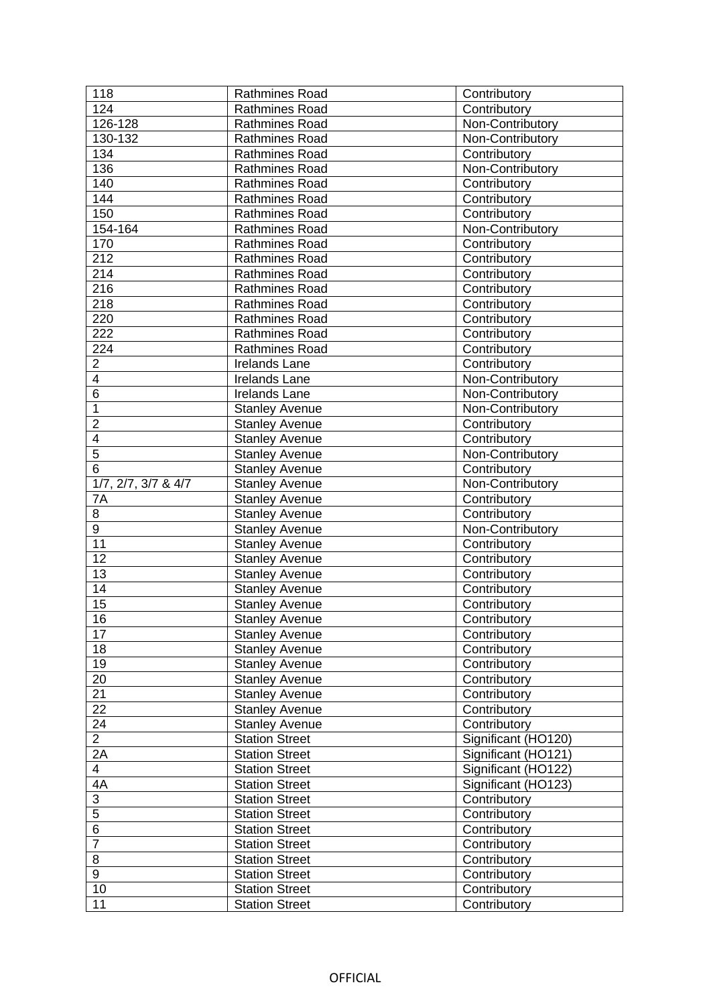| 118                     | <b>Rathmines Road</b>                          | Contributory                     |
|-------------------------|------------------------------------------------|----------------------------------|
| 124                     | <b>Rathmines Road</b>                          | Contributory                     |
| 126-128                 | Rathmines Road                                 | Non-Contributory                 |
| 130-132                 | Rathmines Road                                 | Non-Contributory                 |
| 134                     | Rathmines Road                                 | Contributory                     |
| 136                     | Rathmines Road                                 | Non-Contributory                 |
| 140                     | Rathmines Road                                 | Contributory                     |
| 144                     | Rathmines Road                                 | Contributory                     |
| 150                     | Rathmines Road                                 | Contributory                     |
| $154 - 164$             | Rathmines Road                                 | Non-Contributory                 |
| 170                     | <b>Rathmines Road</b>                          | Contributory                     |
| $\overline{212}$        | Rathmines Road                                 | Contributory                     |
| 214                     | Rathmines Road                                 | Contributory                     |
| 216                     | <b>Rathmines Road</b>                          | Contributory                     |
| 218                     | Rathmines Road                                 | Contributory                     |
| 220                     | Rathmines Road                                 | Contributory                     |
| 222                     | Rathmines Road                                 | Contributory                     |
| 224                     | Rathmines Road                                 | Contributory                     |
| $\overline{2}$          | <b>Irelands Lane</b>                           | Contributory                     |
| 4                       | <b>Irelands Lane</b>                           | Non-Contributory                 |
| $\overline{6}$          | <b>Irelands Lane</b>                           | Non-Contributory                 |
| $\mathbf{1}$            | <b>Stanley Avenue</b>                          | Non-Contributory                 |
| $\overline{2}$          | Stanley Avenue                                 | Contributory                     |
| $\overline{\mathbf{4}}$ | Stanley Avenue                                 | Contributory                     |
| $\overline{5}$          | <b>Stanley Avenue</b>                          | Non-Contributory                 |
| $\overline{6}$          | <b>Stanley Avenue</b>                          | Contributory                     |
| 1/7, 2/7, 3/7 & 4/7     | <b>Stanley Avenue</b>                          | Non-Contributory                 |
| 7A                      | <b>Stanley Avenue</b>                          | Contributory                     |
| 8                       |                                                |                                  |
| 9                       | <b>Stanley Avenue</b><br><b>Stanley Avenue</b> | Contributory<br>Non-Contributory |
| 11                      |                                                |                                  |
| 12                      | <b>Stanley Avenue</b><br><b>Stanley Avenue</b> | Contributory<br>Contributory     |
| 13                      |                                                |                                  |
| 14                      | <b>Stanley Avenue</b>                          | Contributory                     |
| $\overline{15}$         | Stanley Avenue                                 | Contributory                     |
| 16                      | <b>Stanley Avenue</b>                          | Contributory                     |
|                         | <b>Stanley Avenue</b>                          | Contributory                     |
| 17                      | <b>Stanley Avenue</b>                          | Contributory                     |
| 18                      | <b>Stanley Avenue</b>                          | Contributory                     |
| 19                      | <b>Stanley Avenue</b>                          | Contributory                     |
| 20 <sup>7</sup>         | <b>Stanley Avenue</b>                          | Contributory                     |
| 21                      | <b>Stanley Avenue</b>                          | Contributory                     |
| 22                      | <b>Stanley Avenue</b>                          | Contributory                     |
| 24                      | <b>Stanley Avenue</b>                          | Contributory                     |
| $\overline{2}$          | <b>Station Street</b>                          | Significant (HO120)              |
| 2A                      | <b>Station Street</b>                          | Significant (HO121)              |
| 4                       | <b>Station Street</b>                          | Significant (HO122)              |
| 4A                      | <b>Station Street</b>                          | Significant (HO123)              |
| 3                       | <b>Station Street</b>                          | Contributory                     |
| $\overline{5}$          | <b>Station Street</b>                          | Contributory                     |
| 6                       | <b>Station Street</b>                          | Contributory                     |
| $\overline{7}$          | <b>Station Street</b>                          | Contributory                     |
| 8                       | <b>Station Street</b>                          | Contributory                     |
| $\overline{9}$          | <b>Station Street</b>                          | Contributory                     |
| $\overline{10}$         | <b>Station Street</b>                          | Contributory                     |
| 11                      | <b>Station Street</b>                          | Contributory                     |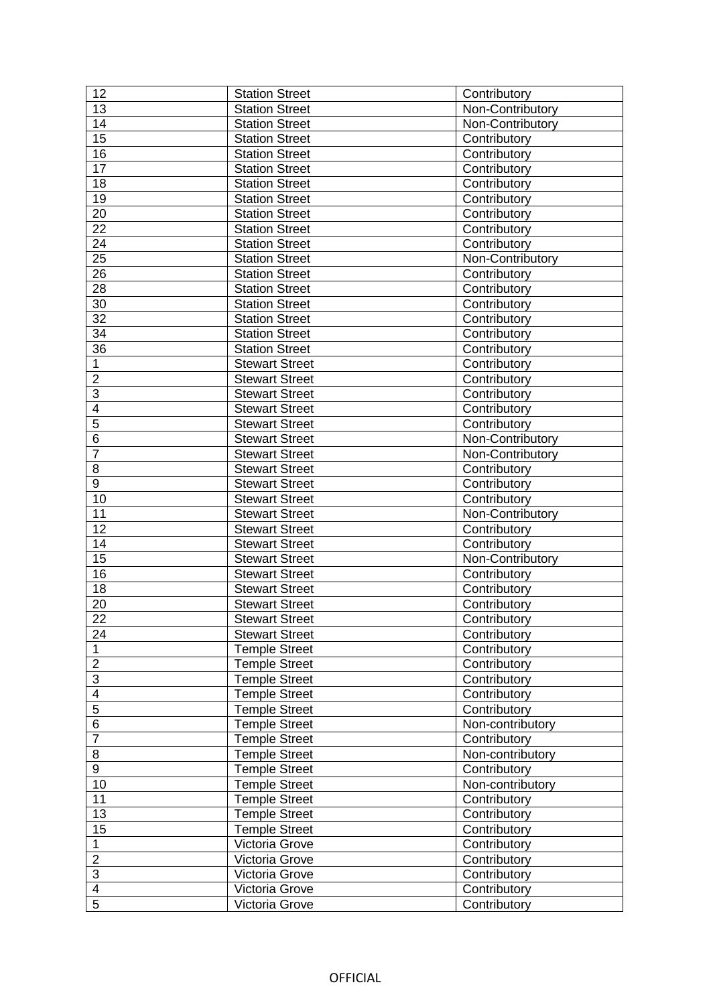| 12                      | <b>Station Street</b>                          | Contributory                     |
|-------------------------|------------------------------------------------|----------------------------------|
| 13                      | <b>Station Street</b>                          | Non-Contributory                 |
| 14                      | <b>Station Street</b>                          | Non-Contributory                 |
| 15                      | Station Street                                 | Contributory                     |
| 16                      | Station Street                                 | Contributory                     |
| 17                      | <b>Station Street</b>                          | Contributory                     |
| 18                      | <b>Station Street</b>                          | Contributory                     |
| 19                      | <b>Station Street</b>                          | Contributory                     |
| 20                      | <b>Station Street</b>                          | Contributory                     |
| $\overline{22}$         | <b>Station Street</b>                          | Contributory                     |
| 24                      | <b>Station Street</b>                          | Contributory                     |
| $\overline{25}$         | <b>Station Street</b>                          | Non-Contributory                 |
| 26                      | Station Street                                 | Contributory                     |
| 28                      | <b>Station Street</b>                          | Contributory                     |
| 30                      | <b>Station Street</b>                          | Contributory                     |
| 32                      | <b>Station Street</b>                          | Contributory                     |
| 34                      | <b>Station Street</b>                          | Contributory                     |
| 36                      | <b>Station Street</b>                          | Contributory                     |
| $\mathbf{1}$            | <b>Stewart Street</b>                          | Contributory                     |
| $\overline{2}$          | <b>Stewart Street</b>                          | Contributory                     |
| $\overline{3}$          | <b>Stewart Street</b>                          | Contributory                     |
| 4                       | <b>Stewart Street</b>                          | Contributory                     |
| $\overline{5}$          | <b>Stewart Street</b>                          | Contributory                     |
| $\overline{6}$          | <b>Stewart Street</b>                          | Non-Contributory                 |
| $\overline{7}$          | <b>Stewart Street</b>                          | Non-Contributory                 |
| 8                       | <b>Stewart Street</b>                          | Contributory                     |
|                         |                                                | Contributory                     |
| 9<br>10                 | <b>Stewart Street</b><br><b>Stewart Street</b> |                                  |
| 11                      | <b>Stewart Street</b>                          | Contributory                     |
| 12                      |                                                | Non-Contributory                 |
|                         | <b>Stewart Street</b>                          | Contributory                     |
| 14<br>15                | <b>Stewart Street</b>                          | Contributory<br>Non-Contributory |
| $\overline{16}$         | <b>Stewart Street</b>                          |                                  |
|                         | <b>Stewart Street</b>                          | Contributory                     |
| 18                      | <b>Stewart Street</b>                          | Contributory                     |
| 20<br>22                | <b>Stewart Street</b>                          | Contributory                     |
|                         | <b>Stewart Street</b>                          | Contributory                     |
| 24                      | <b>Stewart Street</b>                          | Contributory                     |
| $\mathbf{1}$            | <b>Temple Street</b>                           | Contributory                     |
| $\overline{2}$          | <b>Temple Street</b>                           | Contributory                     |
| $\overline{3}$          | <b>Temple Street</b>                           | Contributory                     |
| $\overline{\mathbf{4}}$ | <b>Temple Street</b>                           | Contributory                     |
| $\overline{5}$          | <b>Temple Street</b>                           | Contributory                     |
| 6                       | <b>Temple Street</b>                           | Non-contributory                 |
| $\overline{7}$          | Temple Street                                  | Contributory                     |
| 8                       | Temple Street                                  | Non-contributory                 |
| $\overline{9}$          | <b>Temple Street</b>                           | Contributory                     |
| 10                      | <b>Temple Street</b>                           | Non-contributory                 |
| 11                      | <b>Temple Street</b>                           | Contributory                     |
| 13                      | <b>Temple Street</b>                           | Contributory                     |
| 15                      | <b>Temple Street</b>                           | Contributory                     |
| $\mathbf{1}$            | Victoria Grove                                 | Contributory                     |
| $\overline{c}$          | Victoria Grove                                 | Contributory                     |
| $\overline{3}$          | Victoria Grove                                 | Contributory                     |
| $\overline{4}$          | Victoria Grove                                 | Contributory                     |
| 5                       | Victoria Grove                                 | Contributory                     |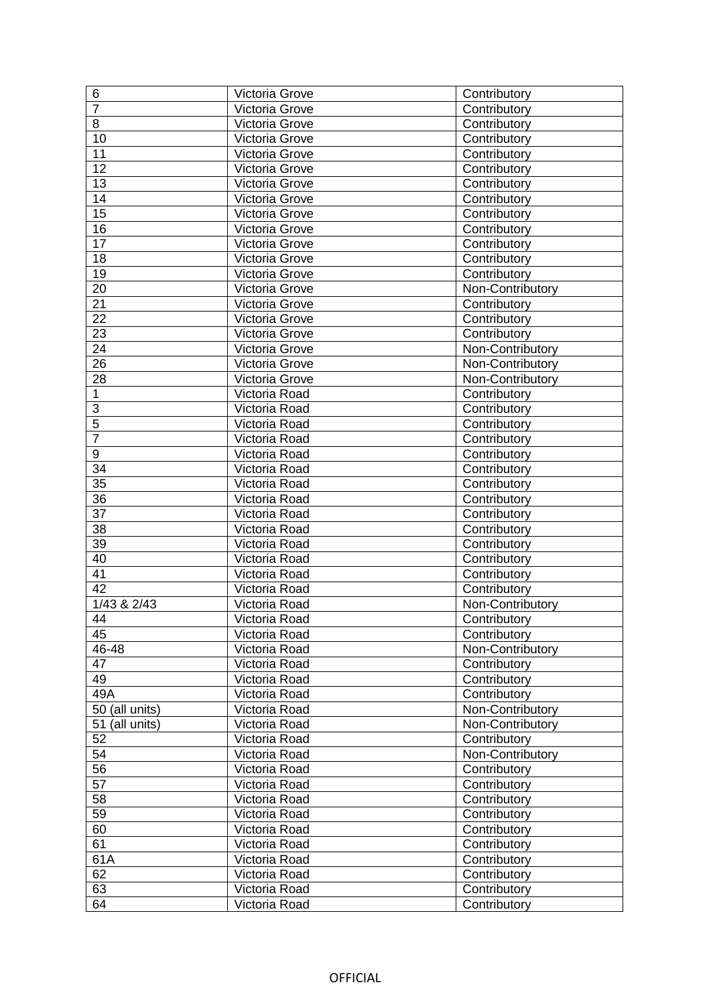| 6               | Victoria Grove | Contributory     |
|-----------------|----------------|------------------|
| $\overline{7}$  | Victoria Grove | Contributory     |
| 8               | Victoria Grove | Contributory     |
| 10              | Victoria Grove | Contributory     |
| 11              | Victoria Grove | Contributory     |
| 12              | Victoria Grove | Contributory     |
| 13              | Victoria Grove | Contributory     |
| 14              | Victoria Grove | Contributory     |
| 15              | Victoria Grove | Contributory     |
| 16              | Victoria Grove | Contributory     |
| 17              | Victoria Grove | Contributory     |
| 18              | Victoria Grove | Contributory     |
| 19              | Victoria Grove | Contributory     |
| 20              | Victoria Grove | Non-Contributory |
| 21              | Victoria Grove | Contributory     |
| 22              | Victoria Grove | Contributory     |
| 23              | Victoria Grove | Contributory     |
| 24              | Victoria Grove | Non-Contributory |
| 26              | Victoria Grove | Non-Contributory |
| 28              | Victoria Grove | Non-Contributory |
| 1               | Victoria Road  | Contributory     |
| 3               | Victoria Road  | Contributory     |
| $\overline{5}$  | Victoria Road  | Contributory     |
| $\overline{7}$  | Victoria Road  | Contributory     |
| 9               |                |                  |
|                 | Victoria Road  | Contributory     |
| 34              | Victoria Road  | Contributory     |
| 35              | Victoria Road  | Contributory     |
| 36              | Victoria Road  | Contributory     |
| 37              | Victoria Road  | Contributory     |
| 38              | Victoria Road  | Contributory     |
| 39              | Victoria Road  | Contributory     |
| 40              | Victoria Road  | Contributory     |
| 41              | Victoria Road  | Contributory     |
| 42              | Victoria Road  | Contributory     |
| 1/43 & 2/43     | Victoria Road  | Non-Contributory |
| 44              | Victoria Road  | Contributory     |
| 45              | Victoria Road  | Contributory     |
| $46 - 48$       | Victoria Road  | Non-Contributory |
| 47              | Victoria Road  | Contributory     |
| 49              | Victoria Road  | Contributory     |
| 49A             | Victoria Road  | Contributory     |
| 50 (all units)  | Victoria Road  | Non-Contributory |
| 51 (all units)  | Victoria Road  | Non-Contributory |
| 52              | Victoria Road  | Contributory     |
| 54              | Victoria Road  | Non-Contributory |
| 56              | Victoria Road  | Contributory     |
| $\overline{57}$ | Victoria Road  | Contributory     |
| 58              | Victoria Road  | Contributory     |
| 59              | Victoria Road  | Contributory     |
| 60              | Victoria Road  | Contributory     |
| 61              | Victoria Road  | Contributory     |
| 61A             | Victoria Road  | Contributory     |
| 62              | Victoria Road  | Contributory     |
| 63              | Victoria Road  | Contributory     |
| 64              | Victoria Road  | Contributory     |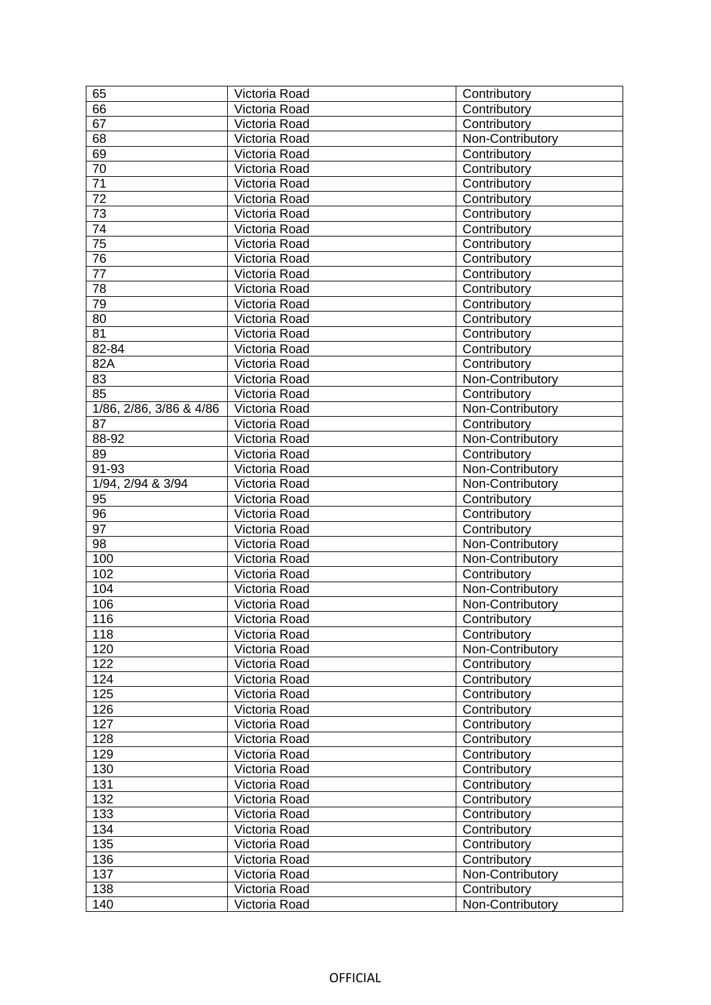| 65                              | Victoria Road | Contributory     |
|---------------------------------|---------------|------------------|
| 66                              | Victoria Road | Contributory     |
| 67                              | Victoria Road | Contributory     |
| 68                              | Victoria Road | Non-Contributory |
| 69                              | Victoria Road | Contributory     |
| 70                              | Victoria Road | Contributory     |
| 71                              | Victoria Road | Contributory     |
| 72                              | Victoria Road | Contributory     |
| 73                              | Victoria Road | Contributory     |
| 74                              | Victoria Road | Contributory     |
| $\overline{75}$                 | Victoria Road | Contributory     |
| 76                              | Victoria Road | Contributory     |
| 77                              | Victoria Road | Contributory     |
| 78                              | Victoria Road | Contributory     |
| 79                              | Victoria Road | Contributory     |
| 80                              | Victoria Road | Contributory     |
| 81                              | Victoria Road | Contributory     |
| 82-84                           | Victoria Road | Contributory     |
| 82A                             | Victoria Road | Contributory     |
| 83                              | Victoria Road | Non-Contributory |
| $\overline{85}$                 | Victoria Road | Contributory     |
| 1/86, 2/86, 3/86 & 4/86         | Victoria Road | Non-Contributory |
| 87                              | Victoria Road | Contributory     |
| 88-92                           | Victoria Road |                  |
| 89                              |               | Non-Contributory |
| $\overline{9}$ 1-93             | Victoria Road | Contributory     |
|                                 | Victoria Road | Non-Contributory |
| $\overline{1/94}$ , 2/94 & 3/94 | Victoria Road | Non-Contributory |
| 95                              | Victoria Road | Contributory     |
| 96                              | Victoria Road | Contributory     |
| 97                              | Victoria Road | Contributory     |
| 98                              | Victoria Road | Non-Contributory |
| 100                             | Victoria Road | Non-Contributory |
| 102                             | Victoria Road | Contributory     |
| 104                             | Victoria Road | Non-Contributory |
| 106                             | Victoria Road | Non-Contributory |
| 116                             | Victoria Road | Contributory     |
| 118                             | Victoria Road | Contributory     |
| 120                             | Victoria Road | Non-Contributory |
| 122                             | Victoria Road | Contributory     |
| 124                             | Victoria Road | Contributory     |
| 125                             | Victoria Road | Contributory     |
| 126                             | Victoria Road | Contributory     |
| 127                             | Victoria Road | Contributory     |
| 128                             | Victoria Road | Contributory     |
| 129                             | Victoria Road | Contributory     |
| 130                             | Victoria Road | Contributory     |
| 131                             | Victoria Road | Contributory     |
| 132                             | Victoria Road | Contributory     |
| 133                             | Victoria Road | Contributory     |
| 134                             | Victoria Road | Contributory     |
| 135                             | Victoria Road | Contributory     |
| 136                             | Victoria Road | Contributory     |
| 137                             | Victoria Road | Non-Contributory |
| 138                             | Victoria Road | Contributory     |
| 140                             | Victoria Road | Non-Contributory |